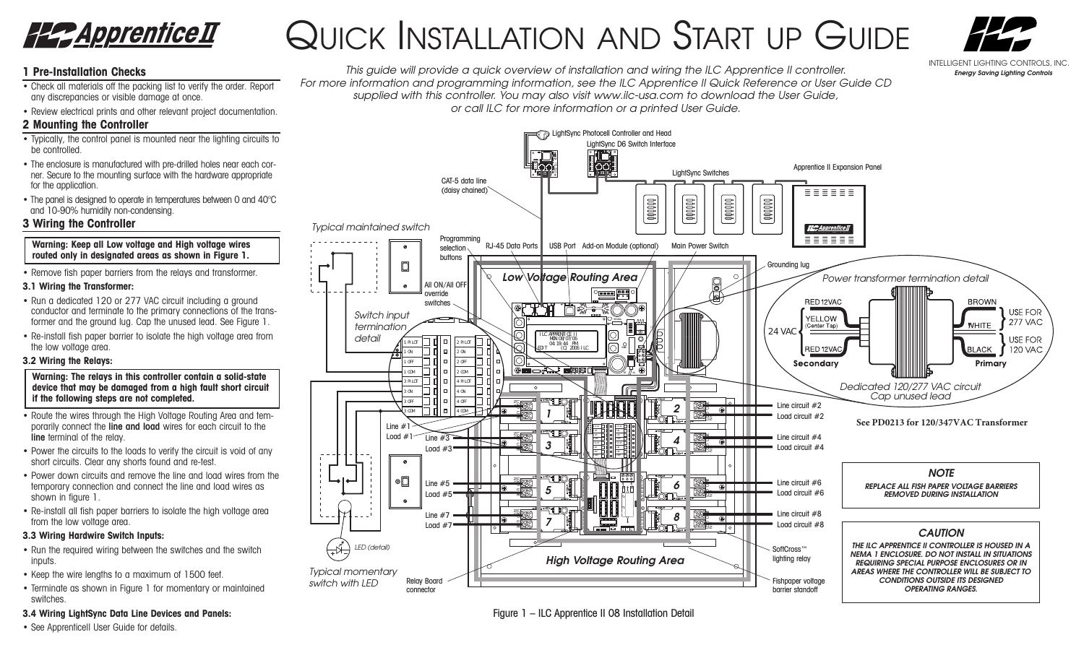

# QUICK INSTALLATION AND START UP GUIDE



# **1 Pre-Installation Checks**

- Check all materials off the packing list to verify the order. Report any discrepancies or visible damage at once.
- Review electrical prints and other relevant project documentation.

# **2 Mounting the Controller**

- Typically, the control panel is mounted near the lighting circuits to be controlled.
- The enclosure is manufactured with pre-drilled holes near each corner. Secure to the mounting surface with the hardware appropriate for the application.
- The panel is designed to operate in temperatures between 0 and 40°C and 10-90% humidity non-condensing.

# **3 Wiring the Controller**

#### **Warning: Keep all Low voltage and High voltage wires routed only in designated areas as shown in Figure 1.**

• Remove fish paper barriers from the relays and transformer.

# **3.1 Wiring the Transformer:**

- Run a dedicated 120 or 277 VAC circuit including a ground conductor and terminate to the primary connections of the transformer and the ground lug. Cap the unused lead. See Figure 1.
- Re-install fish paper barrier to isolate the high voltage area from the low voltage area.

# **3.2 Wiring the Relays:**

## **Warning: The relays in this controller contain a solid-state device that may be damaged from a high fault short circuit if the following steps are not completed.**

- Route the wires through the High Voltage Routing Area and temporarily connect the line and load wires for each circuit to the line terminal of the relay.
- Power the circuits to the loads to verify the circuit is void of any short circuits. Clear any shorts found and re-test.
- Power down circuits and remove the line and load wires from the temporary connection and connect the line and load wires as shown in figure 1.
- Re-install all fish paper barriers to isolate the high voltage area from the low voltage area.

# **3.3 Wiring Hardwire Switch Inputs:**

- Run the required wiring between the switches and the switch inputs.
- Keep the wire lengths to a maximum of 1500 feet.
- Terminate as shown in Figure 1 for momentary or maintained switches.

# **3.4 Wiring LightSync Data Line Devices and Panels:**

• See ApprenticeII User Guide for details.





Figure 1 – ILC Apprentice II 08 Installation Detail

#### INTELLIGENT LIGHTING CONTROLS, INC. *Energy Saving Lighting Controls*